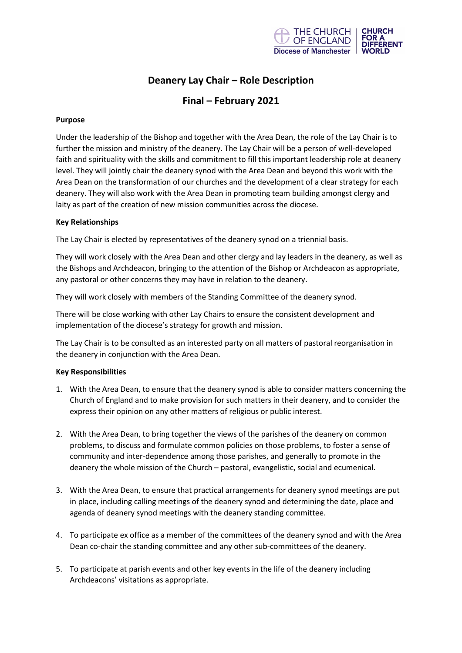

# **Deanery Lay Chair – Role Description**

## **Final – February 2021**

#### **Purpose**

Under the leadership of the Bishop and together with the Area Dean, the role of the Lay Chair is to further the mission and ministry of the deanery. The Lay Chair will be a person of well-developed faith and spirituality with the skills and commitment to fill this important leadership role at deanery level. They will jointly chair the deanery synod with the Area Dean and beyond this work with the Area Dean on the transformation of our churches and the development of a clear strategy for each deanery. They will also work with the Area Dean in promoting team building amongst clergy and laity as part of the creation of new mission communities across the diocese.

#### **Key Relationships**

The Lay Chair is elected by representatives of the deanery synod on a triennial basis.

They will work closely with the Area Dean and other clergy and lay leaders in the deanery, as well as the Bishops and Archdeacon, bringing to the attention of the Bishop or Archdeacon as appropriate, any pastoral or other concerns they may have in relation to the deanery.

They will work closely with members of the Standing Committee of the deanery synod.

There will be close working with other Lay Chairs to ensure the consistent development and implementation of the diocese's strategy for growth and mission.

The Lay Chair is to be consulted as an interested party on all matters of pastoral reorganisation in the deanery in conjunction with the Area Dean.

#### **Key Responsibilities**

- 1. With the Area Dean, to ensure that the deanery synod is able to consider matters concerning the Church of England and to make provision for such matters in their deanery, and to consider the express their opinion on any other matters of religious or public interest.
- 2. With the Area Dean, to bring together the views of the parishes of the deanery on common problems, to discuss and formulate common policies on those problems, to foster a sense of community and inter-dependence among those parishes, and generally to promote in the deanery the whole mission of the Church – pastoral, evangelistic, social and ecumenical.
- 3. With the Area Dean, to ensure that practical arrangements for deanery synod meetings are put in place, including calling meetings of the deanery synod and determining the date, place and agenda of deanery synod meetings with the deanery standing committee.
- 4. To participate ex office as a member of the committees of the deanery synod and with the Area Dean co-chair the standing committee and any other sub-committees of the deanery.
- 5. To participate at parish events and other key events in the life of the deanery including Archdeacons' visitations as appropriate.